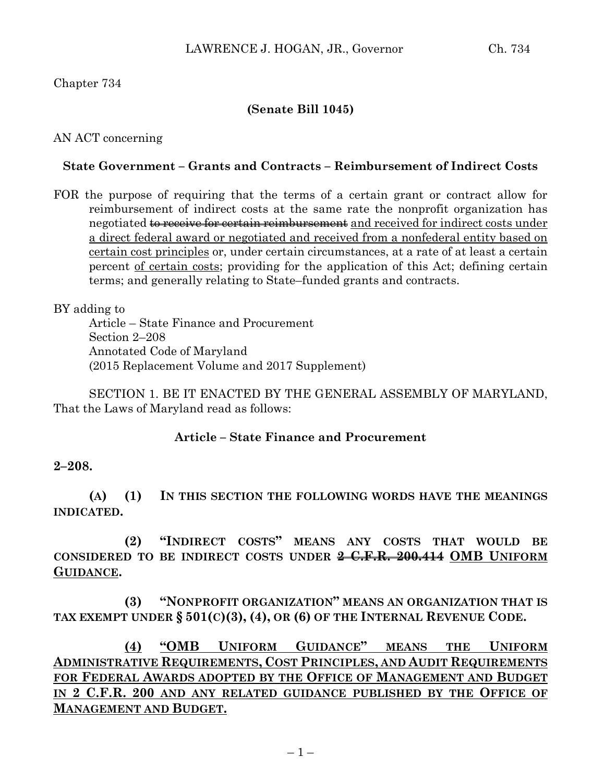# **(Senate Bill 1045)**

AN ACT concerning

## **State Government – Grants and Contracts – Reimbursement of Indirect Costs**

FOR the purpose of requiring that the terms of a certain grant or contract allow for reimbursement of indirect costs at the same rate the nonprofit organization has negotiated to receive for certain reimbursement and received for indirect costs under a direct federal award or negotiated and received from a nonfederal entity based on certain cost principles or, under certain circumstances, at a rate of at least a certain percent of certain costs; providing for the application of this Act; defining certain terms; and generally relating to State–funded grants and contracts.

BY adding to

Article – State Finance and Procurement Section 2–208 Annotated Code of Maryland (2015 Replacement Volume and 2017 Supplement)

SECTION 1. BE IT ENACTED BY THE GENERAL ASSEMBLY OF MARYLAND, That the Laws of Maryland read as follows:

### **Article – State Finance and Procurement**

**2–208.**

**(A) (1) IN THIS SECTION THE FOLLOWING WORDS HAVE THE MEANINGS INDICATED.**

**(2) "INDIRECT COSTS" MEANS ANY COSTS THAT WOULD BE CONSIDERED TO BE INDIRECT COSTS UNDER 2 C.F.R. 200.414 OMB UNIFORM GUIDANCE.**

**(3) "NONPROFIT ORGANIZATION" MEANS AN ORGANIZATION THAT IS TAX EXEMPT UNDER § 501(C)(3), (4), OR (6) OF THE INTERNAL REVENUE CODE.**

**(4) "OMB UNIFORM GUIDANCE" MEANS THE UNIFORM ADMINISTRATIVE REQUIREMENTS, COST PRINCIPLES, AND AUDIT REQUIREMENTS FOR FEDERAL AWARDS ADOPTED BY THE OFFICE OF MANAGEMENT AND BUDGET**  IN **2** C.F.R. **200** AND ANY RELATED GUIDANCE PUBLISHED BY THE OFFICE OF **MANAGEMENT AND BUDGET.**